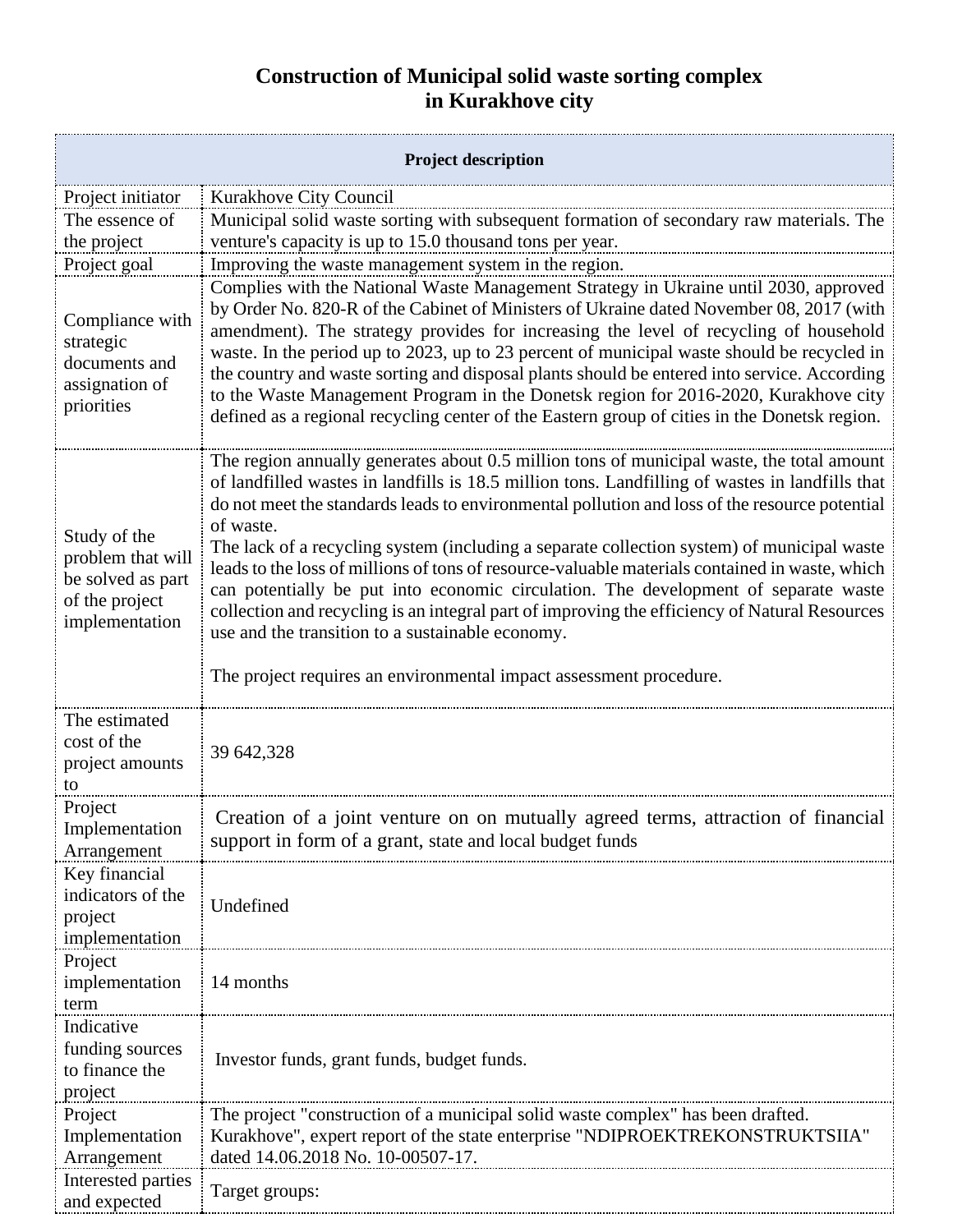## **Construction of Municipal solid waste sorting complex in Kurakhove city**

| <b>Project description</b>                                                                 |                                                                                                                                                                                                                                                                                                                                                                                                                                                                                                                                                                                                                                                                                                                                                                                                                              |
|--------------------------------------------------------------------------------------------|------------------------------------------------------------------------------------------------------------------------------------------------------------------------------------------------------------------------------------------------------------------------------------------------------------------------------------------------------------------------------------------------------------------------------------------------------------------------------------------------------------------------------------------------------------------------------------------------------------------------------------------------------------------------------------------------------------------------------------------------------------------------------------------------------------------------------|
| Project initiator                                                                          | Kurakhove City Council                                                                                                                                                                                                                                                                                                                                                                                                                                                                                                                                                                                                                                                                                                                                                                                                       |
| The essence of                                                                             | Municipal solid waste sorting with subsequent formation of secondary raw materials. The                                                                                                                                                                                                                                                                                                                                                                                                                                                                                                                                                                                                                                                                                                                                      |
| the project                                                                                | venture's capacity is up to 15.0 thousand tons per year.                                                                                                                                                                                                                                                                                                                                                                                                                                                                                                                                                                                                                                                                                                                                                                     |
|                                                                                            |                                                                                                                                                                                                                                                                                                                                                                                                                                                                                                                                                                                                                                                                                                                                                                                                                              |
| Project goal                                                                               | Improving the waste management system in the region.                                                                                                                                                                                                                                                                                                                                                                                                                                                                                                                                                                                                                                                                                                                                                                         |
| Compliance with<br>strategic<br>documents and<br>assignation of<br>priorities              | Complies with the National Waste Management Strategy in Ukraine until 2030, approved<br>by Order No. 820-R of the Cabinet of Ministers of Ukraine dated November 08, 2017 (with<br>amendment). The strategy provides for increasing the level of recycling of household<br>waste. In the period up to 2023, up to 23 percent of municipal waste should be recycled in<br>the country and waste sorting and disposal plants should be entered into service. According<br>to the Waste Management Program in the Donetsk region for 2016-2020, Kurakhove city<br>defined as a regional recycling center of the Eastern group of cities in the Donetsk region.                                                                                                                                                                  |
| Study of the<br>problem that will<br>be solved as part<br>of the project<br>implementation | The region annually generates about 0.5 million tons of municipal waste, the total amount<br>of landfilled wastes in landfills is 18.5 million tons. Landfilling of wastes in landfills that<br>do not meet the standards leads to environmental pollution and loss of the resource potential<br>of waste.<br>The lack of a recycling system (including a separate collection system) of municipal waste<br>leads to the loss of millions of tons of resource-valuable materials contained in waste, which<br>can potentially be put into economic circulation. The development of separate waste<br>collection and recycling is an integral part of improving the efficiency of Natural Resources<br>use and the transition to a sustainable economy.<br>The project requires an environmental impact assessment procedure. |
| The estimated<br>cost of the                                                               | 39 642,328                                                                                                                                                                                                                                                                                                                                                                                                                                                                                                                                                                                                                                                                                                                                                                                                                   |
| project amounts<br>to                                                                      |                                                                                                                                                                                                                                                                                                                                                                                                                                                                                                                                                                                                                                                                                                                                                                                                                              |
| Project<br>Implementation<br>Arrangement                                                   | Creation of a joint venture on on mutually agreed terms, attraction of financial<br>support in form of a grant, state and local budget funds                                                                                                                                                                                                                                                                                                                                                                                                                                                                                                                                                                                                                                                                                 |
| Key financial<br>indicators of the<br>project<br>implementation                            | Undefined                                                                                                                                                                                                                                                                                                                                                                                                                                                                                                                                                                                                                                                                                                                                                                                                                    |
| Project<br>implementation<br>term                                                          | 14 months                                                                                                                                                                                                                                                                                                                                                                                                                                                                                                                                                                                                                                                                                                                                                                                                                    |
| Indicative<br>funding sources<br>to finance the<br>project                                 | Investor funds, grant funds, budget funds.                                                                                                                                                                                                                                                                                                                                                                                                                                                                                                                                                                                                                                                                                                                                                                                   |
| Project                                                                                    | The project "construction of a municipal solid waste complex" has been drafted.                                                                                                                                                                                                                                                                                                                                                                                                                                                                                                                                                                                                                                                                                                                                              |
| Implementation<br>Arrangement                                                              | Kurakhove", expert report of the state enterprise "NDIPROEKTREKONSTRUKTSIIA"<br>dated 14.06.2018 No. 10-00507-17.                                                                                                                                                                                                                                                                                                                                                                                                                                                                                                                                                                                                                                                                                                            |
| Interested parties<br>and expected                                                         | Target groups:                                                                                                                                                                                                                                                                                                                                                                                                                                                                                                                                                                                                                                                                                                                                                                                                               |